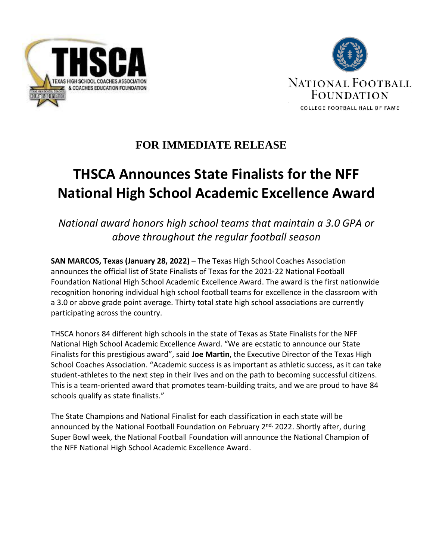



# **FOR IMMEDIATE RELEASE**

# **THSCA Announces State Finalists for the NFF National High School Academic Excellence Award**

*National award honors high school teams that maintain a 3.0 GPA or above throughout the regular football season*

**SAN MARCOS, Texas (January 28, 2022)** – The Texas High School Coaches Association announces the official list of State Finalists of Texas for the 2021-22 National Football Foundation National High School Academic Excellence Award. The award is the first nationwide recognition honoring individual high school football teams for excellence in the classroom with a 3.0 or above grade point average. Thirty total state high school associations are currently participating across the country.

THSCA honors 84 different high schools in the state of Texas as State Finalists for the NFF National High School Academic Excellence Award. "We are ecstatic to announce our State Finalists for this prestigious award", said **Joe Martin**, the Executive Director of the Texas High School Coaches Association. "Academic success is as important as athletic success, as it can take student-athletes to the next step in their lives and on the path to becoming successful citizens. This is a team-oriented award that promotes team-building traits, and we are proud to have 84 schools qualify as state finalists."

The State Champions and National Finalist for each classification in each state will be announced by the National Football Foundation on February 2<sup>nd,</sup> 2022. Shortly after, during Super Bowl week, the National Football Foundation will announce the National Champion of the NFF National High School Academic Excellence Award.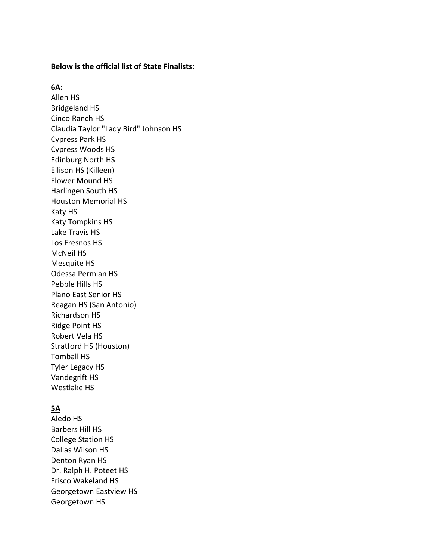#### **Below is the official list of State Finalists:**

#### **6A:**

Allen HS Bridgeland HS Cinco Ranch HS Claudia Taylor "Lady Bird" Johnson HS Cypress Park HS Cypress Woods HS Edinburg North HS Ellison HS (Killeen) Flower Mound HS Harlingen South HS Houston Memorial HS Katy HS Katy Tompkins HS Lake Travis HS Los Fresnos HS McNeil HS Mesquite HS Odessa Permian HS Pebble Hills HS Plano East Senior HS Reagan HS (San Antonio) Richardson HS Ridge Point HS Robert Vela HS Stratford HS (Houston) Tomball HS Tyler Legacy HS Vandegrift HS Westlake HS

#### **5A**

Aledo HS Barbers Hill HS College Station HS Dallas Wilson HS Denton Ryan HS Dr. Ralph H. Poteet HS Frisco Wakeland HS Georgetown Eastview HS Georgetown HS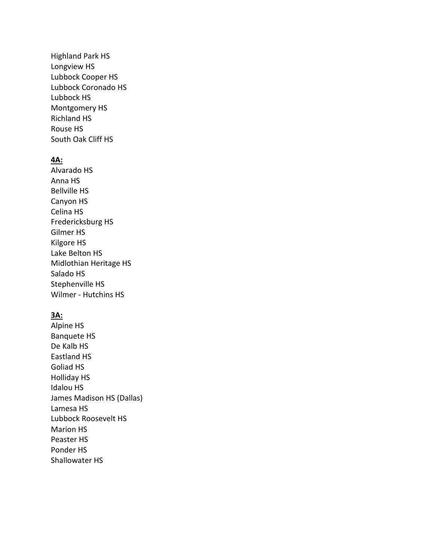Highland Park HS Longview HS Lubbock Cooper HS Lubbock Coronado HS Lubbock HS Montgomery HS Richland HS Rouse HS South Oak Cliff HS

#### **4A:**

Alvarado HS Anna HS Bellville HS Canyon HS Celina HS Fredericksburg HS Gilmer HS Kilgore HS Lake Belton HS Midlothian Heritage HS Salado HS Stephenville HS Wilmer - Hutchins HS

#### **3A:**

Alpine HS Banquete HS De Kalb HS Eastland HS Goliad HS Holliday HS Idalou HS James Madison HS (Dallas) Lamesa HS Lubbock Roosevelt HS Marion HS Peaster HS Ponder HS Shallowater HS